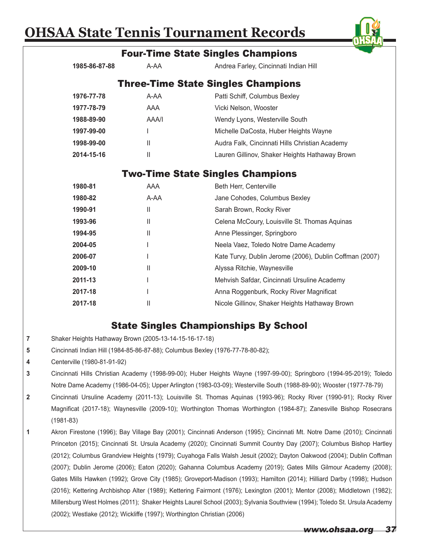|                                                                                                                           |                                                                                |                                                                                                                     | <u>UILLII i</u>                                         |
|---------------------------------------------------------------------------------------------------------------------------|--------------------------------------------------------------------------------|---------------------------------------------------------------------------------------------------------------------|---------------------------------------------------------|
|                                                                                                                           |                                                                                |                                                                                                                     | <b>Four-Time State Singles Champions</b>                |
|                                                                                                                           | 1985-86-87-88                                                                  | A-AA                                                                                                                | Andrea Farley, Cincinnati Indian Hill                   |
|                                                                                                                           |                                                                                |                                                                                                                     | <b>Three-Time State Singles Champions</b>               |
|                                                                                                                           |                                                                                | A-AA                                                                                                                |                                                         |
|                                                                                                                           | 1976-77-78                                                                     | AAA                                                                                                                 | Patti Schiff, Columbus Bexley                           |
|                                                                                                                           | 1977-78-79                                                                     |                                                                                                                     | Vicki Nelson, Wooster                                   |
|                                                                                                                           | 1988-89-90                                                                     | AAA/I                                                                                                               | Wendy Lyons, Westerville South                          |
|                                                                                                                           | 1997-99-00                                                                     |                                                                                                                     | Michelle DaCosta, Huber Heights Wayne                   |
|                                                                                                                           | 1998-99-00                                                                     | Ш                                                                                                                   | Audra Falk, Cincinnati Hills Christian Academy          |
|                                                                                                                           | 2014-15-16                                                                     | Ш                                                                                                                   | Lauren Gillinov, Shaker Heights Hathaway Brown          |
|                                                                                                                           |                                                                                |                                                                                                                     | <b>Two-Time State Singles Champions</b>                 |
|                                                                                                                           | 1980-81                                                                        | <b>AAA</b>                                                                                                          | Beth Herr, Centerville                                  |
|                                                                                                                           | 1980-82                                                                        | A-AA                                                                                                                | Jane Cohodes, Columbus Bexley                           |
|                                                                                                                           | 1990-91                                                                        | $\mathbf{  }$                                                                                                       | Sarah Brown, Rocky River                                |
|                                                                                                                           | 1993-96                                                                        | Ш                                                                                                                   | Celena McCoury, Louisville St. Thomas Aquinas           |
|                                                                                                                           | 1994-95                                                                        | Ш                                                                                                                   | Anne Plessinger, Springboro                             |
|                                                                                                                           | 2004-05                                                                        |                                                                                                                     | Neela Vaez, Toledo Notre Dame Academy                   |
|                                                                                                                           | 2006-07                                                                        |                                                                                                                     | Kate Turvy, Dublin Jerome (2006), Dublin Coffman (2007) |
|                                                                                                                           | 2009-10                                                                        | Ш                                                                                                                   | Alyssa Ritchie, Waynesville                             |
|                                                                                                                           | 2011-13                                                                        |                                                                                                                     | Mehvish Safdar, Cincinnati Ursuline Academy             |
|                                                                                                                           | 2017-18                                                                        |                                                                                                                     | Anna Roggenburk, Rocky River Magnificat                 |
|                                                                                                                           | 2017-18                                                                        | Ш                                                                                                                   | Nicole Gillinov, Shaker Heights Hathaway Brown          |
|                                                                                                                           |                                                                                |                                                                                                                     |                                                         |
|                                                                                                                           |                                                                                |                                                                                                                     | <b>State Singles Championships By School</b>            |
| 7                                                                                                                         | Shaker Heights Hathaway Brown (2005-13-14-15-16-17-18)                         |                                                                                                                     |                                                         |
| 5                                                                                                                         | Cincinnati Indian Hill (1984-85-86-87-88); Columbus Bexley (1976-77-78-80-82); |                                                                                                                     |                                                         |
| 4                                                                                                                         | Centerville (1980-81-91-92)                                                    |                                                                                                                     |                                                         |
| 3<br>Cincinnati Hills Christian Academy (1998-99-00); Huber Heights Wayne (1997-99-00); Springboro (1994-95-2019); Toledo |                                                                                |                                                                                                                     |                                                         |
|                                                                                                                           |                                                                                | Notre Dame Academy (1986-04-05); Upper Arlington (1983-03-09); Westerville South (1988-89-90); Wooster (1977-78-79) |                                                         |

- **2** Cincinnati Ursuline Academy (2011-13); Louisville St. Thomas Aquinas (1993-96); Rocky River (1990-91); Rocky River Magnificat (2017-18); Waynesville (2009-10); Worthington Thomas Worthington (1984-87); Zanesville Bishop Rosecrans (1981-83)
- **1** Akron Firestone (1996); Bay Village Bay (2001); Cincinnati Anderson (1995); Cincinnati Mt. Notre Dame (2010); Cincinnati Princeton (2015); Cincinnati St. Ursula Academy (2020); Cincinnati Summit Country Day (2007); Columbus Bishop Hartley (2012); Columbus Grandview Heights (1979); Cuyahoga Falls Walsh Jesuit (2002); Dayton Oakwood (2004); Dublin Coffman (2007); Dublin Jerome (2006); Eaton (2020); Gahanna Columbus Academy (2019); Gates Mills Gilmour Academy (2008); Gates Mills Hawken (1992); Grove City (1985); Groveport-Madison (1993); Hamilton (2014); Hilliard Darby (1998); Hudson (2016); Kettering Archbishop Alter (1989); Kettering Fairmont (1976); Lexington (2001); Mentor (2008); Middletown (1982); Millersburg West Holmes (2011); Shaker Heights Laurel School (2003); Sylvania Southview (1994); Toledo St. Ursula Academy (2002); Westlake (2012); Wickliffe (1997); Worthington Christian (2006)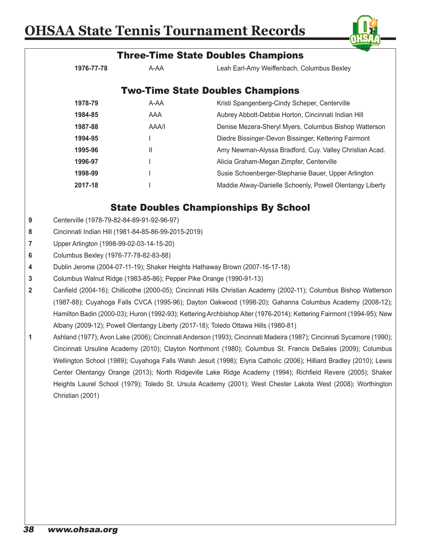

|                                                                                                                      |                                                                                                                      |       | <b>Three-Time State Doubles Champions</b>                                                                            |  |  |
|----------------------------------------------------------------------------------------------------------------------|----------------------------------------------------------------------------------------------------------------------|-------|----------------------------------------------------------------------------------------------------------------------|--|--|
|                                                                                                                      | 1976-77-78                                                                                                           | A-AA  | Leah Earl-Amy Weiffenbach, Columbus Bexley                                                                           |  |  |
|                                                                                                                      |                                                                                                                      |       | <b>Two-Time State Doubles Champions</b>                                                                              |  |  |
|                                                                                                                      | 1978-79                                                                                                              | A-AA  | Kristi Spangenberg-Cindy Scheper, Centerville                                                                        |  |  |
|                                                                                                                      | 1984-85                                                                                                              | AAA   | Aubrey Abbott-Debbie Horton, Cincinnati Indian Hill                                                                  |  |  |
|                                                                                                                      | 1987-88                                                                                                              | AAA/I | Denise Mezera-Sheryl Myers, Columbus Bishop Watterson                                                                |  |  |
|                                                                                                                      | 1994-95                                                                                                              |       | Diedre Bissinger-Devon Bissinger, Kettering Fairmont                                                                 |  |  |
|                                                                                                                      | 1995-96                                                                                                              | Ш     | Amy Newman-Alyssa Bradford, Cuy. Valley Christian Acad.                                                              |  |  |
|                                                                                                                      | 1996-97                                                                                                              |       | Alicia Graham-Megan Zimpfer, Centerville                                                                             |  |  |
|                                                                                                                      | 1998-99                                                                                                              |       | Susie Schoenberger-Stephanie Bauer, Upper Arlington                                                                  |  |  |
|                                                                                                                      | 2017-18                                                                                                              |       | Maddie Atway-Danielle Schoenly, Powell Olentangy Liberty                                                             |  |  |
|                                                                                                                      |                                                                                                                      |       | <b>State Doubles Championships By School</b>                                                                         |  |  |
| 9                                                                                                                    | Centerville (1978-79-82-84-89-91-92-96-97)                                                                           |       |                                                                                                                      |  |  |
| 8                                                                                                                    | Cincinnati Indian Hill (1981-84-85-86-99-2015-2019)                                                                  |       |                                                                                                                      |  |  |
| 7                                                                                                                    | Upper Arlington (1998-99-02-03-14-15-20)                                                                             |       |                                                                                                                      |  |  |
| 6                                                                                                                    | Columbus Bexley (1976-77-78-82-83-88)                                                                                |       |                                                                                                                      |  |  |
| 4                                                                                                                    |                                                                                                                      |       | Dublin Jerome (2004-07-11-19); Shaker Heights Hathaway Brown (2007-16-17-18)                                         |  |  |
| 3                                                                                                                    |                                                                                                                      |       | Columbus Walnut Ridge (1983-85-86); Pepper Pike Orange (1990-91-13)                                                  |  |  |
| $\mathbf{2}$                                                                                                         | Canfield (2004-16); Chillicothe (2000-05); Cincinnati Hills Christian Academy (2002-11); Columbus Bishop Watterson   |       |                                                                                                                      |  |  |
|                                                                                                                      |                                                                                                                      |       | (1987-88); Cuyahoga Falls CVCA (1995-96); Dayton Oakwood (1998-20); Gahanna Columbus Academy (2008-12);              |  |  |
| Hamilton Badin (2000-03); Huron (1992-93); Kettering Archbishop Alter (1976-2014); Kettering Fairmont (1994-95); New |                                                                                                                      |       |                                                                                                                      |  |  |
|                                                                                                                      |                                                                                                                      |       | Albany (2009-12); Powell Olentangy Liberty (2017-18); Toledo Ottawa Hills (1980-81)                                  |  |  |
| 1                                                                                                                    |                                                                                                                      |       | Ashland (1977); Avon Lake (2006); Cincinnati Anderson (1993); Cincinnati Madeira (1987); Cincinnati Sycamore (1990); |  |  |
|                                                                                                                      |                                                                                                                      |       | Cincinnati Ursuline Academy (2010); Clayton Northmont (1980); Columbus St. Francis DeSales (2009); Columbus          |  |  |
|                                                                                                                      | Wellington School (1989); Cuyahoga Falls Walsh Jesuit (1998); Elyria Catholic (2006); Hilliard Bradley (2010); Lewis |       |                                                                                                                      |  |  |
|                                                                                                                      |                                                                                                                      |       | Center Olentangy Orange (2013); North Ridgeville Lake Ridge Academy (1994); Richfield Revere (2005); Shaker          |  |  |
|                                                                                                                      |                                                                                                                      |       | Heights Laurel School (1979); Toledo St. Ursula Academy (2001); West Chester Lakota West (2008); Worthington         |  |  |
|                                                                                                                      | Christian (2001)                                                                                                     |       |                                                                                                                      |  |  |
|                                                                                                                      |                                                                                                                      |       |                                                                                                                      |  |  |
|                                                                                                                      |                                                                                                                      |       |                                                                                                                      |  |  |
|                                                                                                                      |                                                                                                                      |       |                                                                                                                      |  |  |
|                                                                                                                      |                                                                                                                      |       |                                                                                                                      |  |  |
|                                                                                                                      |                                                                                                                      |       |                                                                                                                      |  |  |